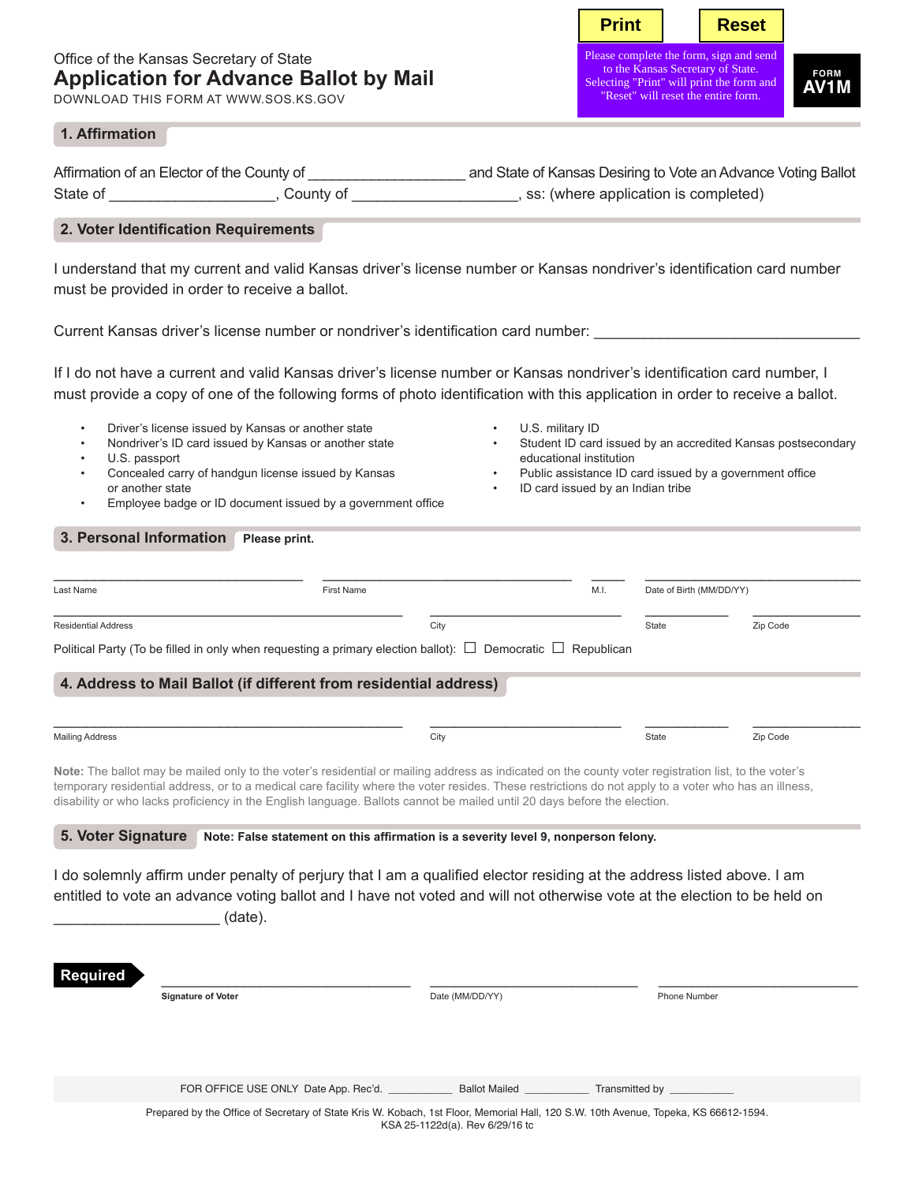# Office of the Kansas Secretary of State **Application for Advance Ballot by Mail**

DOWNLOAD THIS FORM AT WWW.SOS.KS.GOV

**Print** | Reset

Please complete the form, sign to the Kansas Secretary of State. Selecting "Print" will print the form and "Reset" will reset the entire form.

**FORM AV1M**

### **1. Affirmation**

| Affirmation of an Elector of the County of |           | and State of Kansas Desiring to Vote an Advance Voting Ballot |  |  |  |  |
|--------------------------------------------|-----------|---------------------------------------------------------------|--|--|--|--|
| State of                                   | County of | , ss: (where application is completed)                        |  |  |  |  |

## **2. Voter Identification Requirements**

I understand that my current and valid Kansas driver's license number or Kansas nondriver's identification card number must be provided in order to receive a ballot.

Current Kansas driver's license number or nondriver's identification card number:

If I do not have a current and valid Kansas driver's license number or Kansas nondriver's identification card number, I must provide a copy of one of the following forms of photo identification with this application in order to receive a ballot.

- Driver's license issued by Kansas or another state
- Nondriver's ID card issued by Kansas or another state
- U.S. passport
- Concealed carry of handgun license issued by Kansas or another state
- Employee badge or ID document issued by a government office
- U.S. military ID
- Student ID card issued by an accredited Kansas postsecondary educational institution
- Public assistance ID card issued by a government office
- ID card issued by an Indian tribe

### **3. Personal Information** Please print.

| Last Name                  | First Name                                                                                                            | M.I. | Date of Birth (MM/DD/YY) |          |
|----------------------------|-----------------------------------------------------------------------------------------------------------------------|------|--------------------------|----------|
| <b>Residential Address</b> |                                                                                                                       |      | State                    | Zip Code |
|                            | Political Party (To be filled in only when requesting a primary election ballot): $\Box$ Democratic $\Box$ Republican |      |                          |          |

### **4. Address to Mail Ballot (if different from residential address)**

| <b>Mailing Address</b> | City | State | Zip Code |
|------------------------|------|-------|----------|
|                        |      |       |          |

Note: The ballot may be mailed only to the voter's residential or mailing address as indicated on the county voter registration list, to the voter's temporary residential address, or to a medical care facility where the voter resides. These restrictions do not apply to a voter who has an illness, disability or who lacks proficiency in the English language. Ballots cannot be mailed until 20 days before the election.

**5. Voter Signature Note: False statement on this affirmation is a severity level 9, nonperson felony.**

I do solemnly affirm under penalty of perjury that I am a qualified elector residing at the address listed above. I am entitled to vote an advance voting ballot and I have not voted and will not otherwise vote at the election to be held on  $(date)$ .

| <b>Required</b> |                                                                                                                                     |                                    |              |
|-----------------|-------------------------------------------------------------------------------------------------------------------------------------|------------------------------------|--------------|
|                 | <b>Signature of Voter</b>                                                                                                           | Date (MM/DD/YY)                    | Phone Number |
|                 |                                                                                                                                     |                                    |              |
|                 |                                                                                                                                     |                                    |              |
|                 |                                                                                                                                     |                                    |              |
|                 | FOR OFFICE USE ONLY Date App. Rec'd.                                                                                                | <b>Ballot Mailed Ballot</b> Mailed |              |
|                 | Prepared by the Office of Secretary of State Kris W. Kobach, 1st Floor, Memorial Hall, 120 S.W. 10th Avenue, Topeka, KS 66612-1594. | KSA 25-1122d(a). Rev 6/29/16 to    |              |